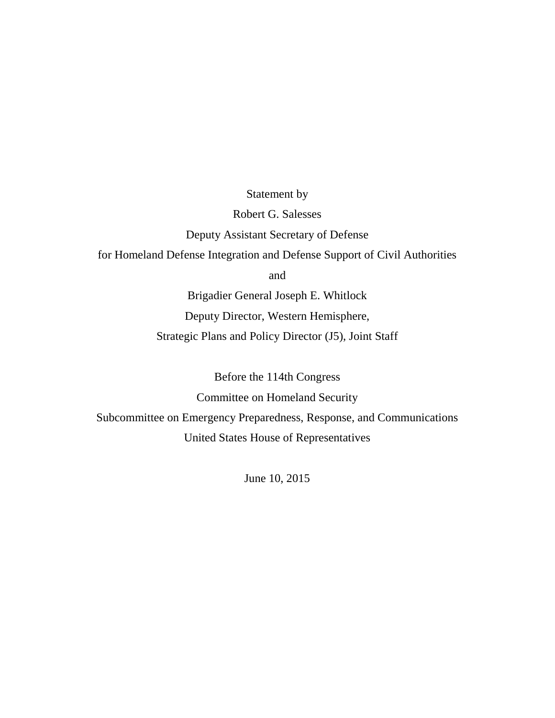Statement by

Robert G. Salesses

Deputy Assistant Secretary of Defense

for Homeland Defense Integration and Defense Support of Civil Authorities

and

Brigadier General Joseph E. Whitlock Deputy Director, Western Hemisphere, Strategic Plans and Policy Director (J5), Joint Staff

Before the 114th Congress

Committee on Homeland Security

Subcommittee on Emergency Preparedness, Response, and Communications United States House of Representatives

June 10, 2015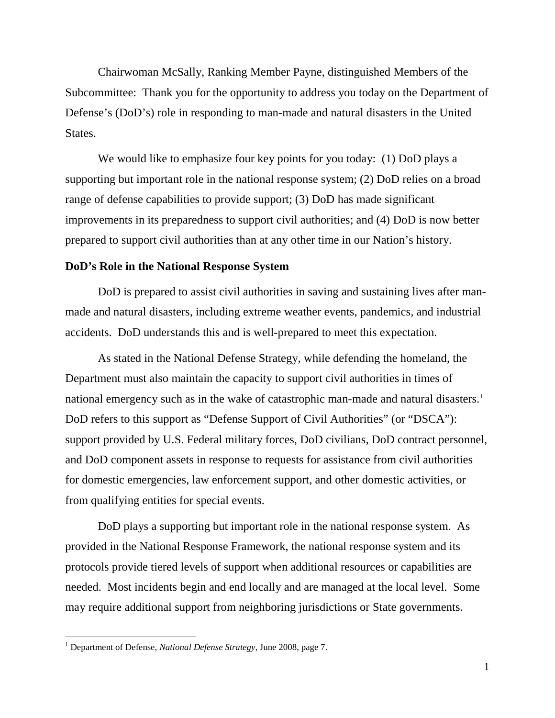Chairwoman McSally, Ranking Member Payne, distinguished Members of the Subcommittee: Thank you for the opportunity to address you today on the Department of Defense's (DoD's) role in responding to man-made and natural disasters in the United States.

We would like to emphasize four key points for you today: (1) DoD plays a supporting but important role in the national response system; (2) DoD relies on a broad range of defense capabilities to provide support; (3) DoD has made significant improvements in its preparedness to support civil authorities; and (4) DoD is now better prepared to support civil authorities than at any other time in our Nation's history.

#### **DoD's Role in the National Response System**

DoD is prepared to assist civil authorities in saving and sustaining lives after manmade and natural disasters, including extreme weather events, pandemics, and industrial accidents. DoD understands this and is well-prepared to meet this expectation.

As stated in the National Defense Strategy, while defending the homeland, the Department must also maintain the capacity to support civil authorities in times of national emergency such as in the wake of catastrophic man-made and natural disasters.<sup>[1](#page-1-0)</sup> DoD refers to this support as "Defense Support of Civil Authorities" (or "DSCA"): support provided by U.S. Federal military forces, DoD civilians, DoD contract personnel, and DoD component assets in response to requests for assistance from civil authorities for domestic emergencies, law enforcement support, and other domestic activities, or from qualifying entities for special events.

DoD plays a supporting but important role in the national response system. As provided in the National Response Framework, the national response system and its protocols provide tiered levels of support when additional resources or capabilities are needed. Most incidents begin and end locally and are managed at the local level. Some may require additional support from neighboring jurisdictions or State governments.

<span id="page-1-0"></span> <sup>1</sup> Department of Defense, *National Defense Strategy*, June 2008, page 7.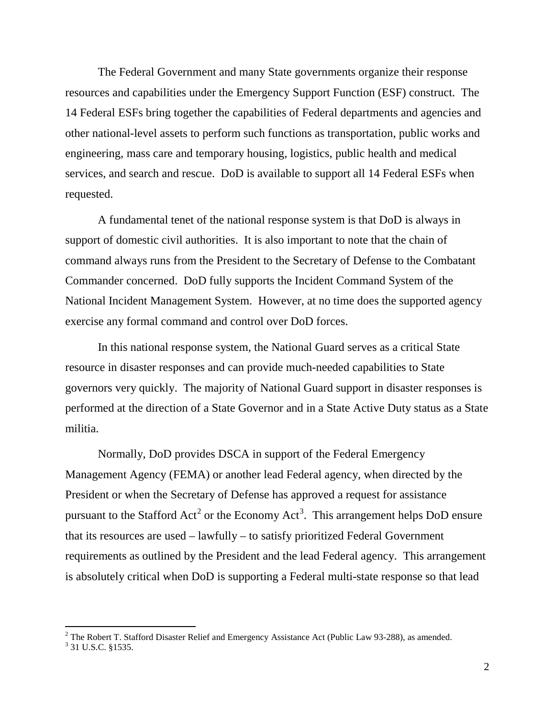The Federal Government and many State governments organize their response resources and capabilities under the Emergency Support Function (ESF) construct. The 14 Federal ESFs bring together the capabilities of Federal departments and agencies and other national-level assets to perform such functions as transportation, public works and engineering, mass care and temporary housing, logistics, public health and medical services, and search and rescue. DoD is available to support all 14 Federal ESFs when requested.

A fundamental tenet of the national response system is that DoD is always in support of domestic civil authorities. It is also important to note that the chain of command always runs from the President to the Secretary of Defense to the Combatant Commander concerned. DoD fully supports the Incident Command System of the National Incident Management System. However, at no time does the supported agency exercise any formal command and control over DoD forces.

In this national response system, the National Guard serves as a critical State resource in disaster responses and can provide much-needed capabilities to State governors very quickly. The majority of National Guard support in disaster responses is performed at the direction of a State Governor and in a State Active Duty status as a State militia.

Normally, DoD provides DSCA in support of the Federal Emergency Management Agency (FEMA) or another lead Federal agency, when directed by the President or when the Secretary of Defense has approved a request for assistance pursuant to the Stafford Act<sup>[2](#page-2-0)</sup> or the Economy Act<sup>[3](#page-2-1)</sup>. This arrangement helps DoD ensure that its resources are used – lawfully – to satisfy prioritized Federal Government requirements as outlined by the President and the lead Federal agency. This arrangement is absolutely critical when DoD is supporting a Federal multi-state response so that lead

<span id="page-2-0"></span><sup>&</sup>lt;sup>2</sup> The Robert T. Stafford Disaster Relief and Emergency Assistance Act (Public Law 93-288), as amended. <sup>3</sup> 31 U.S.C. §1535.

<span id="page-2-1"></span>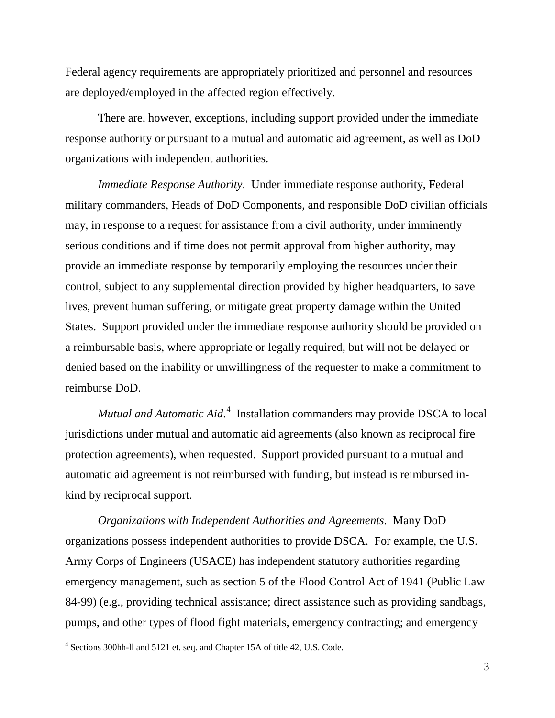Federal agency requirements are appropriately prioritized and personnel and resources are deployed/employed in the affected region effectively.

There are, however, exceptions, including support provided under the immediate response authority or pursuant to a mutual and automatic aid agreement, as well as DoD organizations with independent authorities.

*Immediate Response Authority*. Under immediate response authority, Federal military commanders, Heads of DoD Components, and responsible DoD civilian officials may, in response to a request for assistance from a civil authority, under imminently serious conditions and if time does not permit approval from higher authority, may provide an immediate response by temporarily employing the resources under their control, subject to any supplemental direction provided by higher headquarters, to save lives, prevent human suffering, or mitigate great property damage within the United States. Support provided under the immediate response authority should be provided on a reimbursable basis, where appropriate or legally required, but will not be delayed or denied based on the inability or unwillingness of the requester to make a commitment to reimburse DoD.

Mutual and Automatic Aid.<sup>[4](#page-3-0)</sup> Installation commanders may provide DSCA to local jurisdictions under mutual and automatic aid agreements (also known as reciprocal fire protection agreements), when requested. Support provided pursuant to a mutual and automatic aid agreement is not reimbursed with funding, but instead is reimbursed inkind by reciprocal support.

*Organizations with Independent Authorities and Agreements*. Many DoD organizations possess independent authorities to provide DSCA. For example, the U.S. Army Corps of Engineers (USACE) has independent statutory authorities regarding emergency management, such as section 5 of the Flood Control Act of 1941 (Public Law 84-99) (e.g., providing technical assistance; direct assistance such as providing sandbags, pumps, and other types of flood fight materials, emergency contracting; and emergency

<span id="page-3-0"></span><sup>&</sup>lt;sup>4</sup> Sections 300hh-ll and 5121 et. seq. and Chapter 15A of title 42, U.S. Code.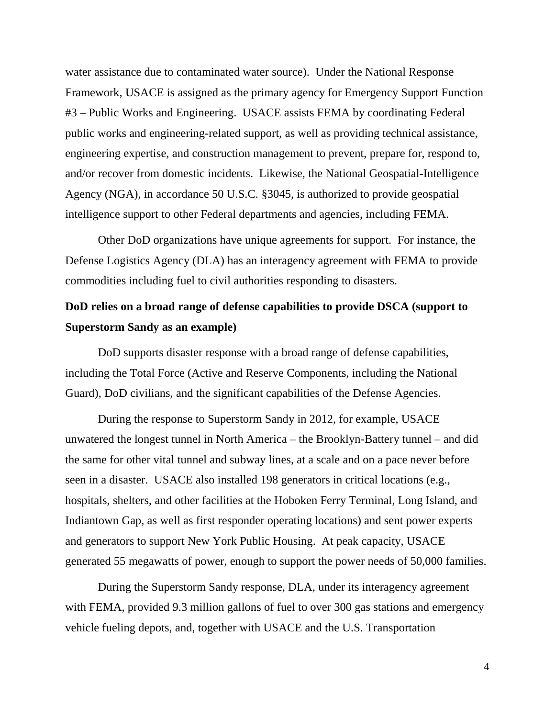water assistance due to contaminated water source). Under the National Response Framework, USACE is assigned as the primary agency for Emergency Support Function #3 – Public Works and Engineering. USACE assists FEMA by coordinating Federal public works and engineering-related support, as well as providing technical assistance, engineering expertise, and construction management to prevent, prepare for, respond to, and/or recover from domestic incidents. Likewise, the National Geospatial-Intelligence Agency (NGA), in accordance 50 U.S.C. §3045, is authorized to provide geospatial intelligence support to other Federal departments and agencies, including FEMA.

Other DoD organizations have unique agreements for support. For instance, the Defense Logistics Agency (DLA) has an interagency agreement with FEMA to provide commodities including fuel to civil authorities responding to disasters.

# **DoD relies on a broad range of defense capabilities to provide DSCA (support to Superstorm Sandy as an example)**

DoD supports disaster response with a broad range of defense capabilities, including the Total Force (Active and Reserve Components, including the National Guard), DoD civilians, and the significant capabilities of the Defense Agencies.

During the response to Superstorm Sandy in 2012, for example, USACE unwatered the longest tunnel in North America – the Brooklyn-Battery tunnel – and did the same for other vital tunnel and subway lines, at a scale and on a pace never before seen in a disaster. USACE also installed 198 generators in critical locations (e.g., hospitals, shelters, and other facilities at the Hoboken Ferry Terminal, Long Island, and Indiantown Gap, as well as first responder operating locations) and sent power experts and generators to support New York Public Housing. At peak capacity, USACE generated 55 megawatts of power, enough to support the power needs of 50,000 families.

During the Superstorm Sandy response, DLA, under its interagency agreement with FEMA, provided 9.3 million gallons of fuel to over 300 gas stations and emergency vehicle fueling depots, and, together with USACE and the U.S. Transportation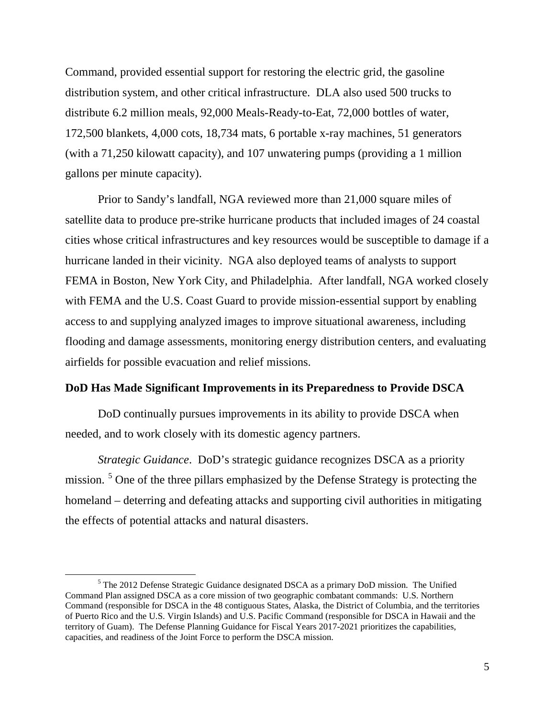Command, provided essential support for restoring the electric grid, the gasoline distribution system, and other critical infrastructure. DLA also used 500 trucks to distribute 6.2 million meals, 92,000 Meals-Ready-to-Eat, 72,000 bottles of water, 172,500 blankets, 4,000 cots, 18,734 mats, 6 portable x-ray machines, 51 generators (with a 71,250 kilowatt capacity), and 107 unwatering pumps (providing a 1 million gallons per minute capacity).

Prior to Sandy's landfall, NGA reviewed more than 21,000 square miles of satellite data to produce pre-strike hurricane products that included images of 24 coastal cities whose critical infrastructures and key resources would be susceptible to damage if a hurricane landed in their vicinity. NGA also deployed teams of analysts to support FEMA in Boston, New York City, and Philadelphia. After landfall, NGA worked closely with FEMA and the U.S. Coast Guard to provide mission-essential support by enabling access to and supplying analyzed images to improve situational awareness, including flooding and damage assessments, monitoring energy distribution centers, and evaluating airfields for possible evacuation and relief missions.

## **DoD Has Made Significant Improvements in its Preparedness to Provide DSCA**

DoD continually pursues improvements in its ability to provide DSCA when needed, and to work closely with its domestic agency partners.

*Strategic Guidance*. DoD's strategic guidance recognizes DSCA as a priority mission. <sup>[5](#page-5-0)</sup> One of the three pillars emphasized by the Defense Strategy is protecting the homeland – deterring and defeating attacks and supporting civil authorities in mitigating the effects of potential attacks and natural disasters.

<span id="page-5-0"></span><sup>&</sup>lt;sup>5</sup> The 2012 Defense Strategic Guidance designated DSCA as a primary DoD mission. The Unified Command Plan assigned DSCA as a core mission of two geographic combatant commands: U.S. Northern Command (responsible for DSCA in the 48 contiguous States, Alaska, the District of Columbia, and the territories of Puerto Rico and the U.S. Virgin Islands) and U.S. Pacific Command (responsible for DSCA in Hawaii and the territory of Guam). The Defense Planning Guidance for Fiscal Years 2017-2021 prioritizes the capabilities, capacities, and readiness of the Joint Force to perform the DSCA mission.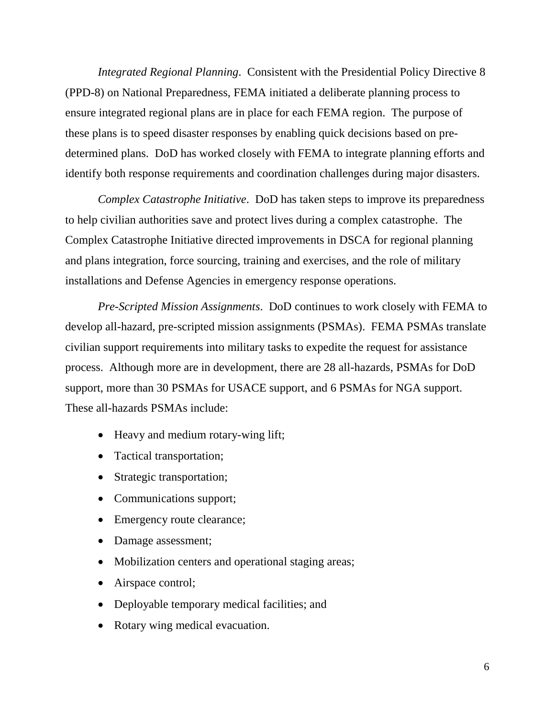*Integrated Regional Planning*. Consistent with the Presidential Policy Directive 8 (PPD-8) on National Preparedness, FEMA initiated a deliberate planning process to ensure integrated regional plans are in place for each FEMA region. The purpose of these plans is to speed disaster responses by enabling quick decisions based on predetermined plans. DoD has worked closely with FEMA to integrate planning efforts and identify both response requirements and coordination challenges during major disasters.

*Complex Catastrophe Initiative*. DoD has taken steps to improve its preparedness to help civilian authorities save and protect lives during a complex catastrophe. The Complex Catastrophe Initiative directed improvements in DSCA for regional planning and plans integration, force sourcing, training and exercises, and the role of military installations and Defense Agencies in emergency response operations.

*Pre-Scripted Mission Assignments*. DoD continues to work closely with FEMA to develop all-hazard, pre-scripted mission assignments (PSMAs). FEMA PSMAs translate civilian support requirements into military tasks to expedite the request for assistance process. Although more are in development, there are 28 all-hazards, PSMAs for DoD support, more than 30 PSMAs for USACE support, and 6 PSMAs for NGA support. These all-hazards PSMAs include:

- Heavy and medium rotary-wing lift;
- Tactical transportation;
- Strategic transportation;
- Communications support;
- Emergency route clearance;
- Damage assessment;
- Mobilization centers and operational staging areas;
- Airspace control;
- Deployable temporary medical facilities; and
- Rotary wing medical evacuation.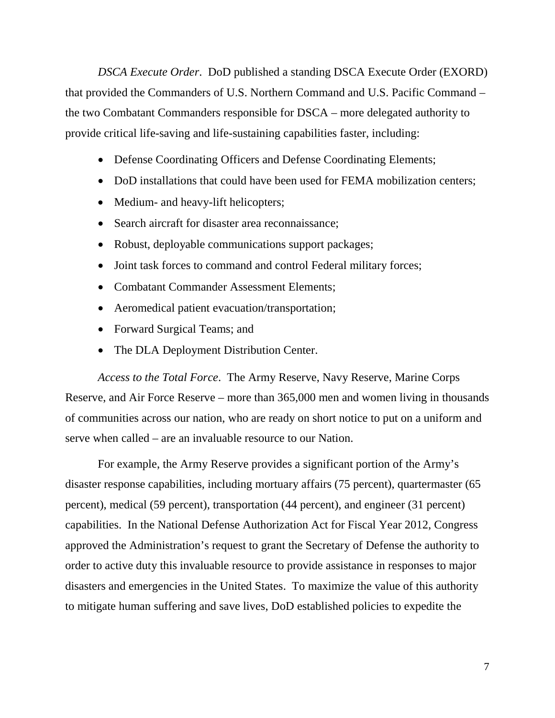*DSCA Execute Order*. DoD published a standing DSCA Execute Order (EXORD) that provided the Commanders of U.S. Northern Command and U.S. Pacific Command – the two Combatant Commanders responsible for DSCA – more delegated authority to provide critical life-saving and life-sustaining capabilities faster, including:

- Defense Coordinating Officers and Defense Coordinating Elements;
- DoD installations that could have been used for FEMA mobilization centers;
- Medium- and heavy-lift helicopters;
- Search aircraft for disaster area reconnaissance;
- Robust, deployable communications support packages;
- Joint task forces to command and control Federal military forces;
- Combatant Commander Assessment Elements:
- Aeromedical patient evacuation/transportation;
- Forward Surgical Teams; and
- The DLA Deployment Distribution Center.

*Access to the Total Force*. The Army Reserve, Navy Reserve, Marine Corps Reserve, and Air Force Reserve – more than 365,000 men and women living in thousands of communities across our nation, who are ready on short notice to put on a uniform and serve when called – are an invaluable resource to our Nation.

For example, the Army Reserve provides a significant portion of the Army's disaster response capabilities, including mortuary affairs (75 percent), quartermaster (65 percent), medical (59 percent), transportation (44 percent), and engineer (31 percent) capabilities. In the National Defense Authorization Act for Fiscal Year 2012, Congress approved the Administration's request to grant the Secretary of Defense the authority to order to active duty this invaluable resource to provide assistance in responses to major disasters and emergencies in the United States. To maximize the value of this authority to mitigate human suffering and save lives, DoD established policies to expedite the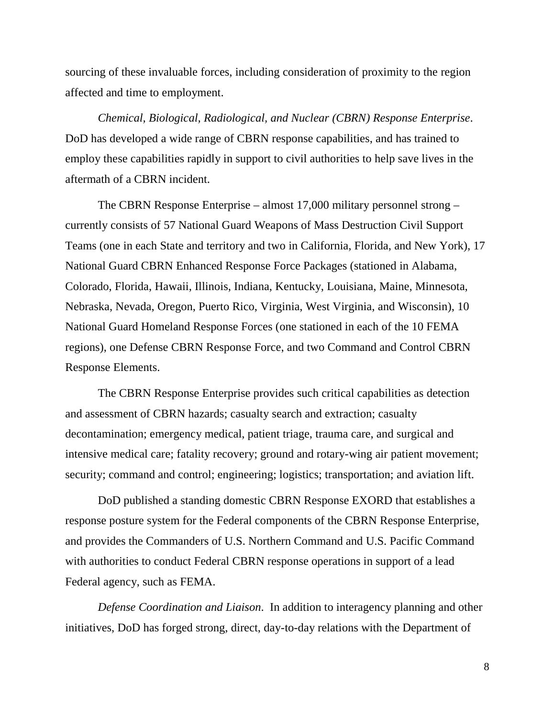sourcing of these invaluable forces, including consideration of proximity to the region affected and time to employment.

*Chemical, Biological, Radiological, and Nuclear (CBRN) Response Enterprise*. DoD has developed a wide range of CBRN response capabilities, and has trained to employ these capabilities rapidly in support to civil authorities to help save lives in the aftermath of a CBRN incident.

The CBRN Response Enterprise – almost 17,000 military personnel strong – currently consists of 57 National Guard Weapons of Mass Destruction Civil Support Teams (one in each State and territory and two in California, Florida, and New York), 17 National Guard CBRN Enhanced Response Force Packages (stationed in Alabama, Colorado, Florida, Hawaii, Illinois, Indiana, Kentucky, Louisiana, Maine, Minnesota, Nebraska, Nevada, Oregon, Puerto Rico, Virginia, West Virginia, and Wisconsin), 10 National Guard Homeland Response Forces (one stationed in each of the 10 FEMA regions), one Defense CBRN Response Force, and two Command and Control CBRN Response Elements.

The CBRN Response Enterprise provides such critical capabilities as detection and assessment of CBRN hazards; casualty search and extraction; casualty decontamination; emergency medical, patient triage, trauma care, and surgical and intensive medical care; fatality recovery; ground and rotary-wing air patient movement; security; command and control; engineering; logistics; transportation; and aviation lift.

DoD published a standing domestic CBRN Response EXORD that establishes a response posture system for the Federal components of the CBRN Response Enterprise, and provides the Commanders of U.S. Northern Command and U.S. Pacific Command with authorities to conduct Federal CBRN response operations in support of a lead Federal agency, such as FEMA.

*Defense Coordination and Liaison*. In addition to interagency planning and other initiatives, DoD has forged strong, direct, day-to-day relations with the Department of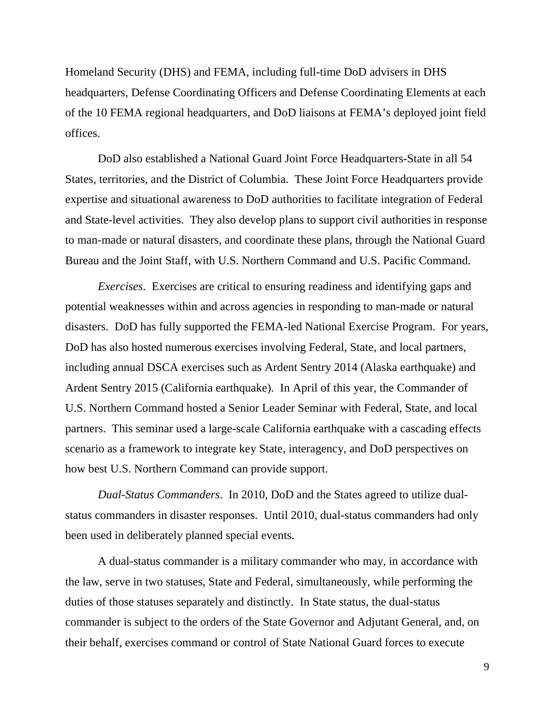Homeland Security (DHS) and FEMA, including full-time DoD advisers in DHS headquarters, Defense Coordinating Officers and Defense Coordinating Elements at each of the 10 FEMA regional headquarters, and DoD liaisons at FEMA's deployed joint field offices.

DoD also established a National Guard Joint Force Headquarters-State in all 54 States, territories, and the District of Columbia. These Joint Force Headquarters provide expertise and situational awareness to DoD authorities to facilitate integration of Federal and State-level activities. They also develop plans to support civil authorities in response to man-made or natural disasters, and coordinate these plans, through the National Guard Bureau and the Joint Staff, with U.S. Northern Command and U.S. Pacific Command.

*Exercises*. Exercises are critical to ensuring readiness and identifying gaps and potential weaknesses within and across agencies in responding to man-made or natural disasters. DoD has fully supported the FEMA-led National Exercise Program. For years, DoD has also hosted numerous exercises involving Federal, State, and local partners, including annual DSCA exercises such as Ardent Sentry 2014 (Alaska earthquake) and Ardent Sentry 2015 (California earthquake). In April of this year, the Commander of U.S. Northern Command hosted a Senior Leader Seminar with Federal, State, and local partners. This seminar used a large-scale California earthquake with a cascading effects scenario as a framework to integrate key State, interagency, and DoD perspectives on how best U.S. Northern Command can provide support.

*Dual-Status Commanders*. In 2010, DoD and the States agreed to utilize dualstatus commanders in disaster responses. Until 2010, dual-status commanders had only been used in deliberately planned special events.

A dual-status commander is a military commander who may, in accordance with the law, serve in two statuses, State and Federal, simultaneously, while performing the duties of those statuses separately and distinctly. In State status, the dual-status commander is subject to the orders of the State Governor and Adjutant General, and, on their behalf, exercises command or control of State National Guard forces to execute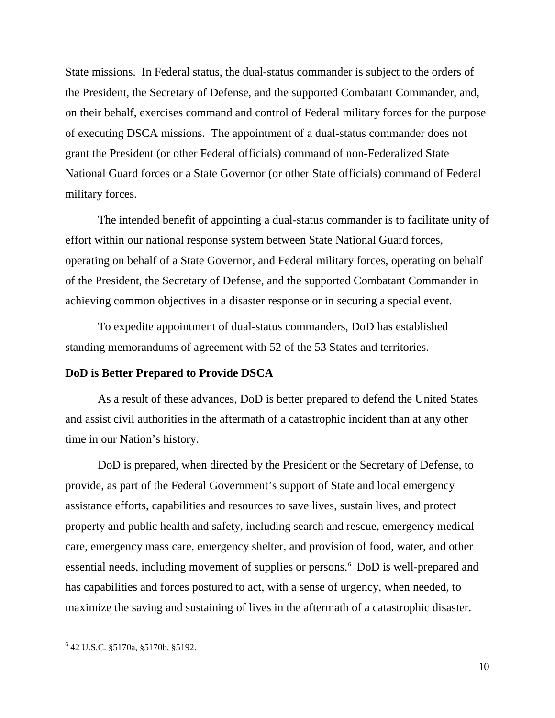State missions. In Federal status, the dual-status commander is subject to the orders of the President, the Secretary of Defense, and the supported Combatant Commander, and, on their behalf, exercises command and control of Federal military forces for the purpose of executing DSCA missions. The appointment of a dual-status commander does not grant the President (or other Federal officials) command of non-Federalized State National Guard forces or a State Governor (or other State officials) command of Federal military forces.

The intended benefit of appointing a dual-status commander is to facilitate unity of effort within our national response system between State National Guard forces, operating on behalf of a State Governor, and Federal military forces, operating on behalf of the President, the Secretary of Defense, and the supported Combatant Commander in achieving common objectives in a disaster response or in securing a special event.

To expedite appointment of dual-status commanders, DoD has established standing memorandums of agreement with 52 of the 53 States and territories.

## **DoD is Better Prepared to Provide DSCA**

As a result of these advances, DoD is better prepared to defend the United States and assist civil authorities in the aftermath of a catastrophic incident than at any other time in our Nation's history.

DoD is prepared, when directed by the President or the Secretary of Defense, to provide, as part of the Federal Government's support of State and local emergency assistance efforts, capabilities and resources to save lives, sustain lives, and protect property and public health and safety, including search and rescue, emergency medical care, emergency mass care, emergency shelter, and provision of food, water, and other essential needs, including movement of supplies or persons.<sup>[6](#page-10-0)</sup> DoD is well-prepared and has capabilities and forces postured to act, with a sense of urgency, when needed, to maximize the saving and sustaining of lives in the aftermath of a catastrophic disaster.

<span id="page-10-0"></span> <sup>6</sup> 42 U.S.C. §5170a, §5170b, §5192.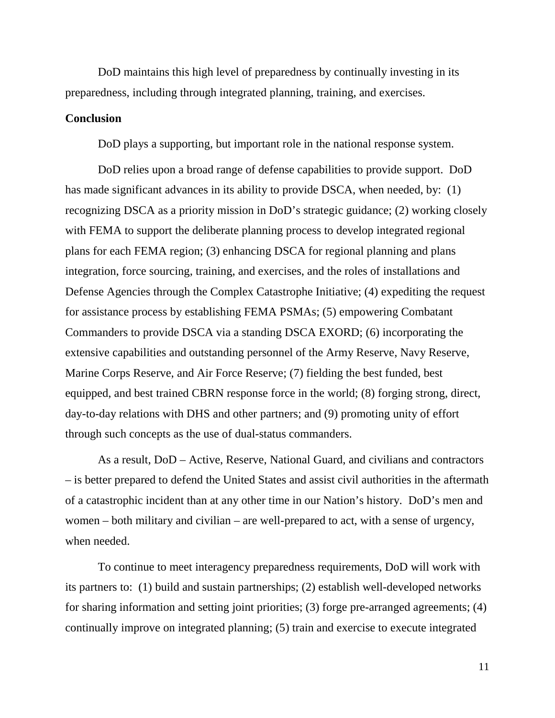DoD maintains this high level of preparedness by continually investing in its preparedness, including through integrated planning, training, and exercises.

## **Conclusion**

DoD plays a supporting, but important role in the national response system.

DoD relies upon a broad range of defense capabilities to provide support. DoD has made significant advances in its ability to provide DSCA, when needed, by: (1) recognizing DSCA as a priority mission in DoD's strategic guidance; (2) working closely with FEMA to support the deliberate planning process to develop integrated regional plans for each FEMA region; (3) enhancing DSCA for regional planning and plans integration, force sourcing, training, and exercises, and the roles of installations and Defense Agencies through the Complex Catastrophe Initiative; (4) expediting the request for assistance process by establishing FEMA PSMAs; (5) empowering Combatant Commanders to provide DSCA via a standing DSCA EXORD; (6) incorporating the extensive capabilities and outstanding personnel of the Army Reserve, Navy Reserve, Marine Corps Reserve, and Air Force Reserve; (7) fielding the best funded, best equipped, and best trained CBRN response force in the world; (8) forging strong, direct, day-to-day relations with DHS and other partners; and (9) promoting unity of effort through such concepts as the use of dual-status commanders.

As a result, DoD – Active, Reserve, National Guard, and civilians and contractors – is better prepared to defend the United States and assist civil authorities in the aftermath of a catastrophic incident than at any other time in our Nation's history. DoD's men and women – both military and civilian – are well-prepared to act, with a sense of urgency, when needed.

To continue to meet interagency preparedness requirements, DoD will work with its partners to: (1) build and sustain partnerships; (2) establish well-developed networks for sharing information and setting joint priorities; (3) forge pre-arranged agreements; (4) continually improve on integrated planning; (5) train and exercise to execute integrated